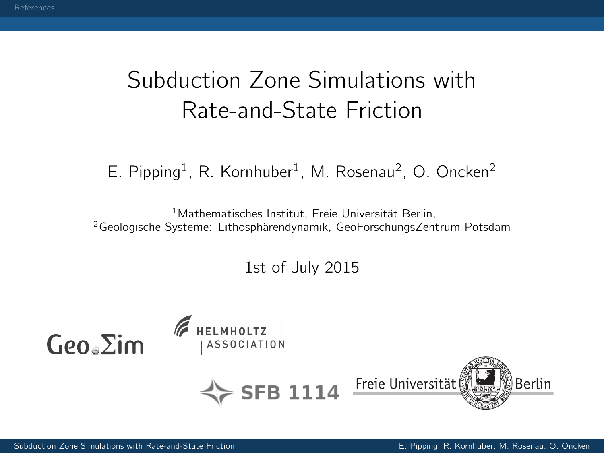# <span id="page-0-0"></span>Subduction Zone Simulations with Rate-and-State Friction

E. Pipping<sup>1</sup>, R. Kornhuber<sup>1</sup>, M. Rosenau<sup>2</sup>, O. Oncken<sup>2</sup>

<sup>1</sup>Mathematisches Institut, Freie Universität Berlin, <sup>2</sup>Geologische Systeme: Lithosphärendynamik, GeoForschungsZentrum Potsdam

1st of July 2015

HELMHOLTZ  $Geo<sub>e</sub> \Sigma$ im **ASSOCIATION**  $\sim$ SFB 1114 Freie Universität Berlin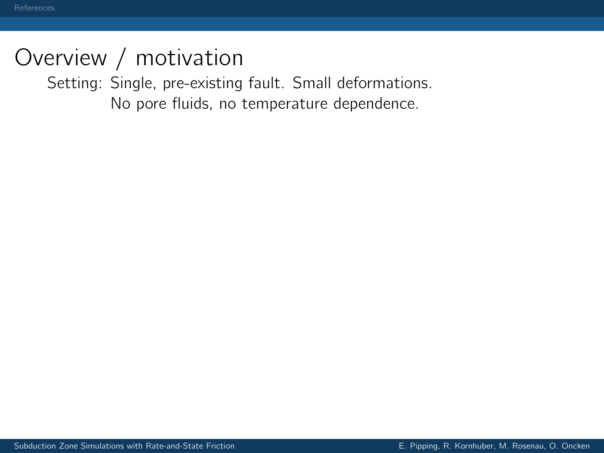Setting: Single, pre-existing fault. Small deformations. No pore fluids, no temperature dependence.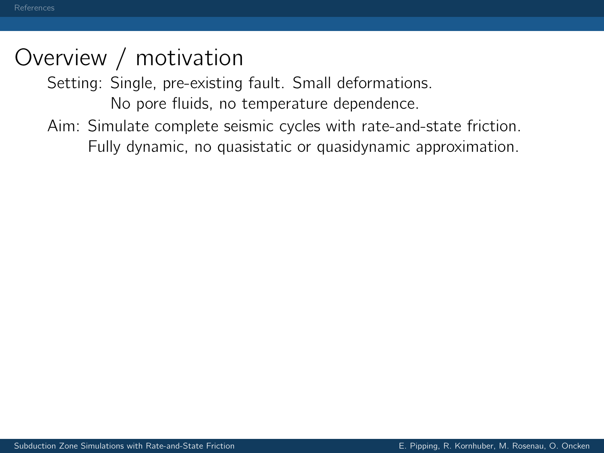Setting: Single, pre-existing fault. Small deformations.

No pore fluids, no temperature dependence.

Aim: Simulate complete seismic cycles with rate-and-state friction. Fully dynamic, no quasistatic or quasidynamic approximation.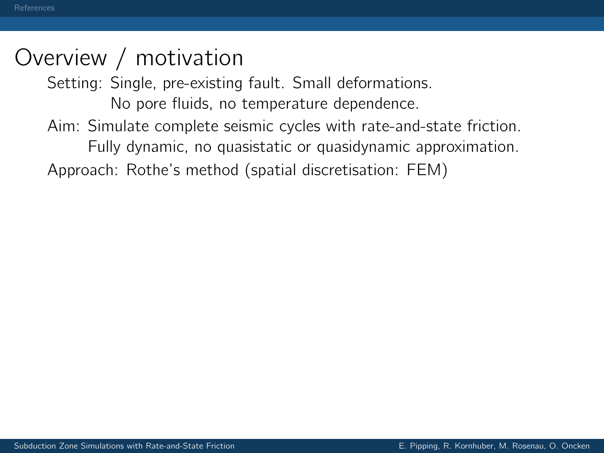Setting: Single, pre-existing fault. Small deformations.

No pore fluids, no temperature dependence. Aim: Simulate complete seismic cycles with rate-and-state friction.

Fully dynamic, no quasistatic or quasidynamic approximation. Approach: Rothe's method (spatial discretisation: FEM)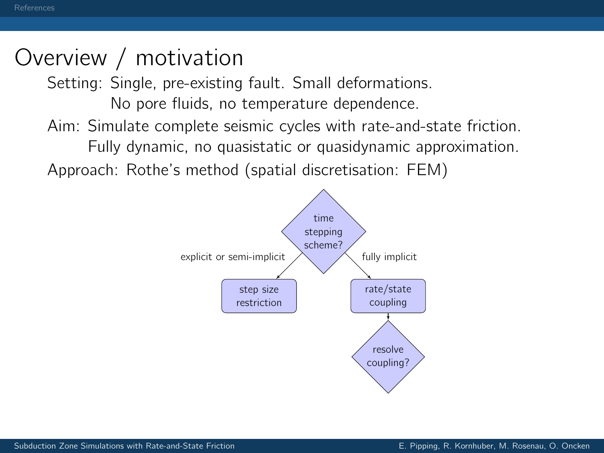Setting: Single, pre-existing fault. Small deformations.

No pore fluids, no temperature dependence.

Aim: Simulate complete seismic cycles with rate-and-state friction.

Fully dynamic, no quasistatic or quasidynamic approximation.

Approach: Rothe's method (spatial discretisation: FEM)

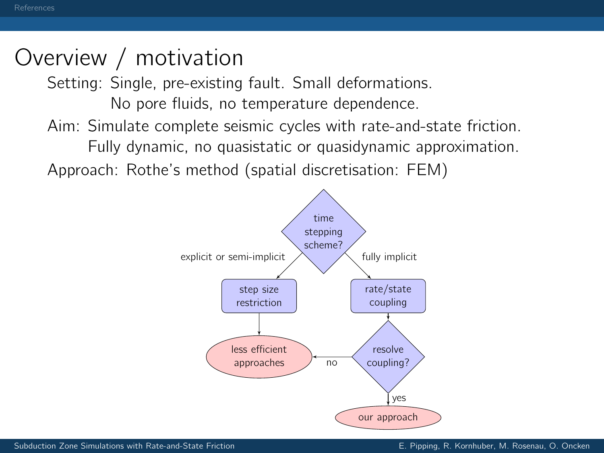Setting: Single, pre-existing fault. Small deformations.

No pore fluids, no temperature dependence.

Aim: Simulate complete seismic cycles with rate-and-state friction.

Fully dynamic, no quasistatic or quasidynamic approximation.

Approach: Rothe's method (spatial discretisation: FEM)

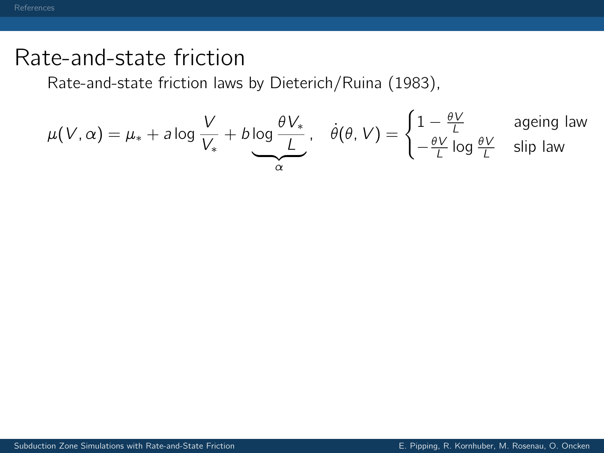Rate-and-state friction laws by Dieterich/Ruina (1983),

$$
\mu(V, \alpha) = \mu_* + a \log \frac{V}{V_*} + b \log \frac{\theta V_*}{\underline{L}} , \quad \dot{\theta}(\theta, V) = \begin{cases} 1 - \frac{\theta V}{\underline{L}} & \text{aging law} \\ -\frac{\theta V}{\underline{L}} \log \frac{\theta V}{\underline{L}} & \text{slip law} \end{cases}
$$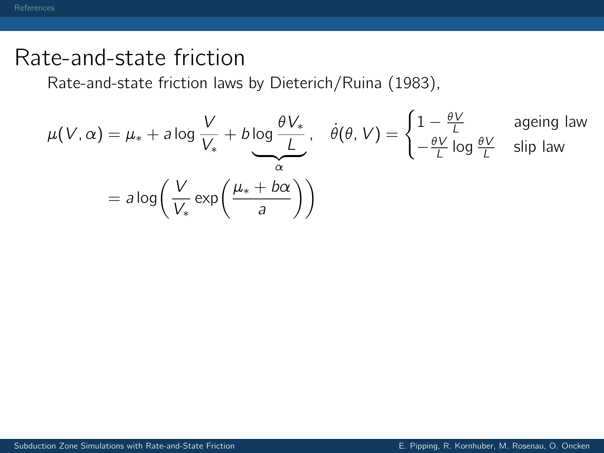Rate-and-state friction laws by Dieterich/Ruina (1983),

$$
\mu(V, \alpha) = \mu_* + a \log \frac{V}{V_*} + b \log \frac{\theta V_*}{\frac{L}{\alpha}}, \quad \dot{\theta}(\theta, V) = \begin{cases} 1 - \frac{\theta V}{L} & \text{aging law} \\ -\frac{\theta V}{L} \log \frac{\theta V}{L} & \text{slip law} \end{cases}
$$
\n
$$
= a \log \left( \frac{V}{V_*} \exp \left( \frac{\mu_* + b\alpha}{a} \right) \right)
$$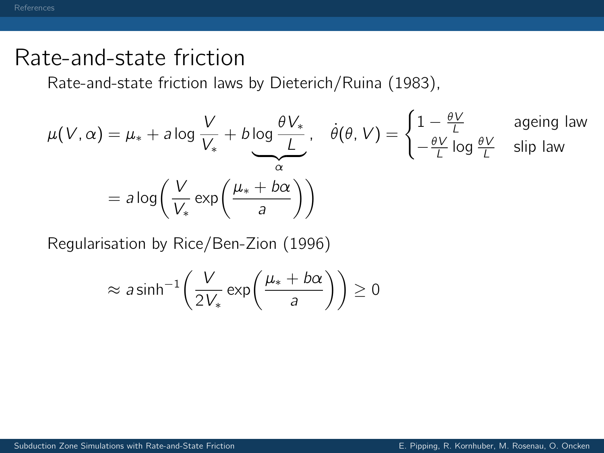Rate-and-state friction laws by Dieterich/Ruina (1983),

$$
\mu(V, \alpha) = \mu_* + a \log \frac{V}{V_*} + b \log \frac{\theta V_*}{\frac{L}{\alpha}}, \quad \dot{\theta}(\theta, V) = \begin{cases} 1 - \frac{\theta V}{L} & \text{aging law} \\ -\frac{\theta V}{L} \log \frac{\theta V}{L} & \text{slip law} \end{cases}
$$
\n
$$
= a \log \left( \frac{V}{V_*} \exp \left( \frac{\mu_* + b\alpha}{a} \right) \right)
$$

Regularisation by Rice/Ben-Zion (1996)

$$
\approx a \sinh^{-1}\left(\frac{V}{2V_*}\exp\left(\frac{\mu_*+b\alpha}{a}\right)\right) \ge 0
$$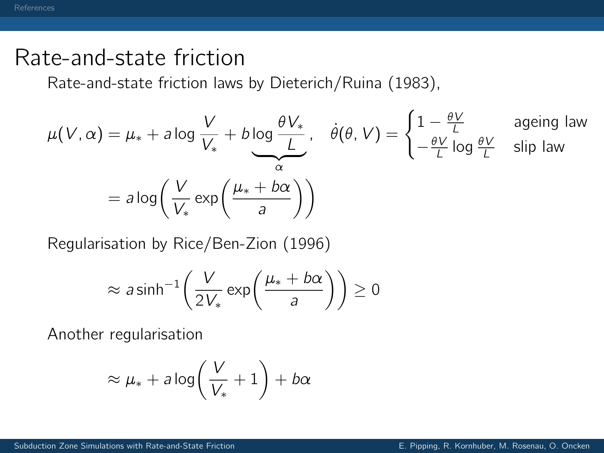Rate-and-state friction laws by Dieterich/Ruina (1983),

$$
\mu(V, \alpha) = \mu_* + a \log \frac{V}{V_*} + b \log \frac{\theta V_*}{\frac{L}{\alpha}}, \quad \dot{\theta}(\theta, V) = \begin{cases} 1 - \frac{\theta V}{L} & \text{aging law} \\ -\frac{\theta V}{L} \log \frac{\theta V}{L} & \text{slip law} \end{cases}
$$
\n
$$
= a \log \left( \frac{V}{V_*} \exp \left( \frac{\mu_* + b\alpha}{a} \right) \right)
$$

Regularisation by Rice/Ben-Zion (1996)

$$
\approx a \sinh^{-1}\left(\frac{V}{2V_*}\exp\left(\frac{\mu_*+b\alpha}{a}\right)\right) \ge 0
$$

Another regularisation

$$
\approx \mu_* + a \log \left( \frac{V}{V_*} + 1 \right) + b \alpha
$$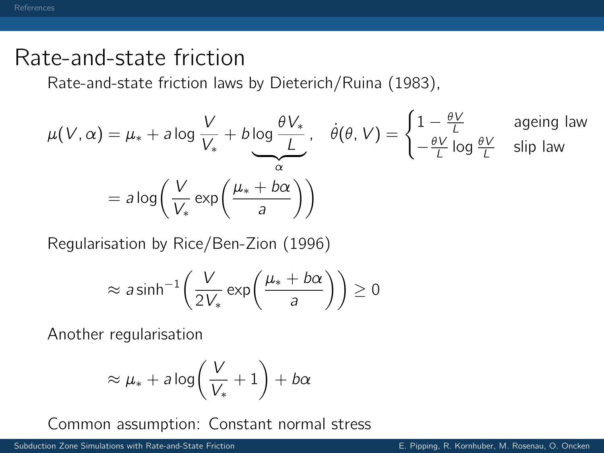Rate-and-state friction laws by Dieterich/Ruina (1983),

$$
\mu(V, \alpha) = \mu_* + a \log \frac{V}{V_*} + b \log \frac{\theta V_*}{\frac{L}{\alpha}}, \quad \dot{\theta}(\theta, V) = \begin{cases} 1 - \frac{\theta V}{L} & \text{aging law} \\ -\frac{\theta V}{L} \log \frac{\theta V}{L} & \text{slip law} \end{cases}
$$
\n
$$
= a \log \left( \frac{V}{V_*} \exp \left( \frac{\mu_* + b\alpha}{a} \right) \right)
$$

Regularisation by Rice/Ben-Zion (1996)

$$
\approx a \sinh^{-1}\left(\frac{V}{2V_*}\exp\left(\frac{\mu_*+b\alpha}{a}\right)\right) \ge 0
$$

Another regularisation

$$
\approx \mu_* + a \log \left( \frac{V}{V_*} + 1 \right) + b \alpha
$$

Common assumption: Constant normal stress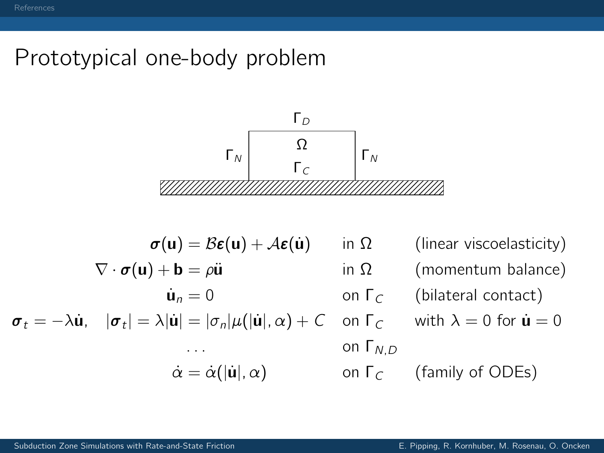# Prototypical one-body problem



$$
\sigma(\mathbf{u}) = B\epsilon(\mathbf{u}) + A\epsilon(\dot{\mathbf{u}}) \quad \text{in } \Omega \quad \text{(linear viscosity)}
$$
\n
$$
\nabla \cdot \sigma(\mathbf{u}) + \mathbf{b} = \rho \ddot{\mathbf{u}} \quad \text{in } \Omega \quad \text{(momentum balance)}
$$
\n
$$
\dot{\mathbf{u}}_n = 0 \quad \text{on } \Gamma_C \quad \text{(bilateral contact)}
$$
\n
$$
\sigma_t = -\lambda \dot{\mathbf{u}}, \quad |\sigma_t| = \lambda |\dot{\mathbf{u}}| = |\sigma_n|\mu(|\dot{\mathbf{u}}|, \alpha) + C \quad \text{on } \Gamma_C \quad \text{with } \lambda = 0 \text{ for } \dot{\mathbf{u}} = 0
$$
\n
$$
\therefore \quad \dot{\alpha} = \dot{\alpha}(|\dot{\mathbf{u}}|, \alpha) \quad \text{on } \Gamma_C \quad \text{(family of ODEs)}
$$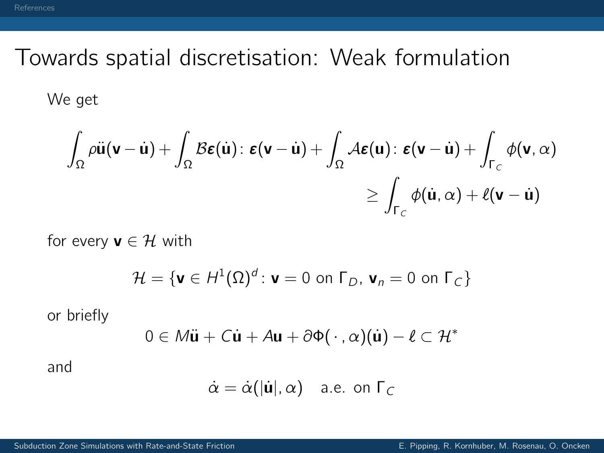# Towards spatial discretisation: Weak formulation

We get

$$
\int_{\Omega} \rho \ddot{\mathbf{u}}(\mathbf{v} - \dot{\mathbf{u}}) + \int_{\Omega} \mathcal{B} \boldsymbol{\epsilon}(\dot{\mathbf{u}}) : \boldsymbol{\epsilon}(\mathbf{v} - \dot{\mathbf{u}}) + \int_{\Omega} \mathcal{A} \boldsymbol{\epsilon}(\mathbf{u}) : \boldsymbol{\epsilon}(\mathbf{v} - \dot{\mathbf{u}}) + \int_{\Gamma_C} \phi(\mathbf{v}, \alpha) \\ \geq \int_{\Gamma_C} \phi(\dot{\mathbf{u}}, \alpha) + \ell(\mathbf{v} - \dot{\mathbf{u}})
$$

for every  $\mathbf{v} \in \mathcal{H}$  with

$$
\mathcal{H} = \{ \mathbf{v} \in H^1(\Omega)^d : \mathbf{v} = 0 \text{ on } \Gamma_D, \mathbf{v}_n = 0 \text{ on } \Gamma_C \}
$$

or briefly

$$
0 \in M\ddot{\mathbf{u}} + C\dot{\mathbf{u}} + A\mathbf{u} + \partial \Phi(\cdot, \alpha)(\dot{\mathbf{u}}) - \ell \subset \mathcal{H}^*
$$

and

$$
\dot{\alpha} = \dot{\alpha}(|\dot{\mathbf{u}}|, \alpha) \quad \text{a.e. on } \Gamma_C
$$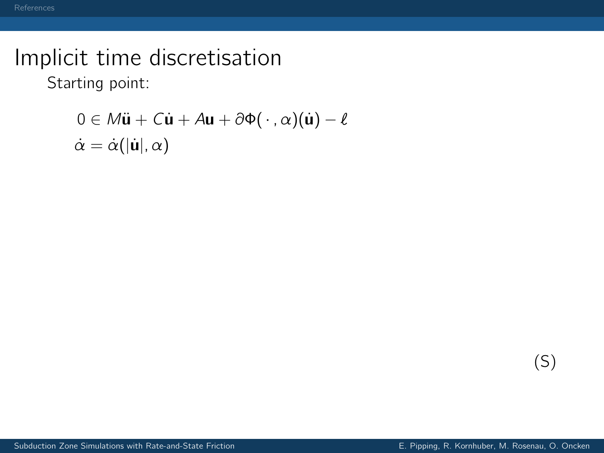Starting point:

$$
0 \in M\ddot{\mathbf{u}} + C\dot{\mathbf{u}} + A\mathbf{u} + \partial \Phi(\cdot, \alpha)(\dot{\mathbf{u}}) - \ell
$$

$$
\dot{\alpha} = \dot{\alpha}(|\dot{\mathbf{u}}|, \alpha)
$$

(S)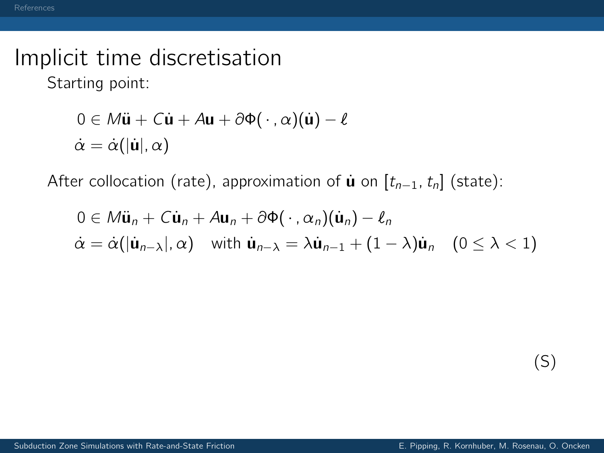Starting point:

$$
0 \in M\ddot{\mathbf{u}} + C\dot{\mathbf{u}} + A\mathbf{u} + \partial \Phi(\cdot, \alpha)(\dot{\mathbf{u}}) - \ell
$$

$$
\dot{\alpha} = \dot{\alpha}(|\dot{\mathbf{u}}|, \alpha)
$$

After collocation (rate), approximation of  $\dot{\mathbf{u}}$  on  $[t_{n-1}, t_n]$  (state):

$$
0 \in M\ddot{\mathbf{u}}_n + C\dot{\mathbf{u}}_n + A\mathbf{u}_n + \partial \Phi(\cdot, \alpha_n)(\dot{\mathbf{u}}_n) - \ell_n
$$
  
\n
$$
\dot{\alpha} = \dot{\alpha}(|\dot{\mathbf{u}}_{n-\lambda}|, \alpha) \quad \text{with } \dot{\mathbf{u}}_{n-\lambda} = \lambda \dot{\mathbf{u}}_{n-1} + (1-\lambda)\dot{\mathbf{u}}_n \quad (0 \le \lambda < 1)
$$

(S)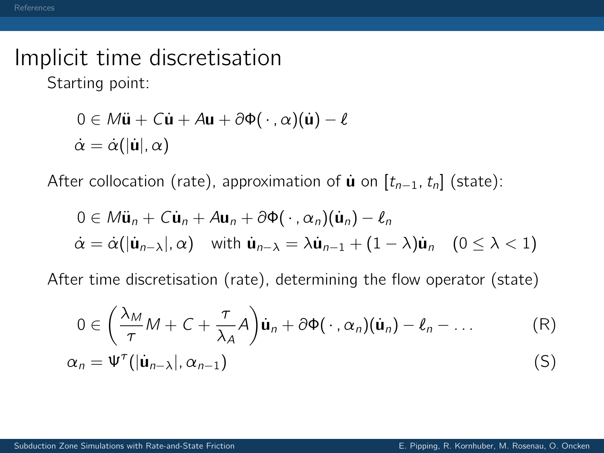Starting point:

$$
0 \in M\ddot{\mathbf{u}} + C\dot{\mathbf{u}} + A\mathbf{u} + \partial \Phi(\cdot, \alpha)(\dot{\mathbf{u}}) - \ell
$$

$$
\dot{\alpha} = \dot{\alpha}(|\dot{\mathbf{u}}|, \alpha)
$$

After collocation (rate), approximation of  $\mathbf{u}$  on  $[t_{n-1}, t_n]$  (state):

$$
0 \in M\ddot{\mathbf{u}}_n + C\dot{\mathbf{u}}_n + A\mathbf{u}_n + \partial \Phi(\cdot, \alpha_n)(\dot{\mathbf{u}}_n) - \ell_n
$$
  
\n
$$
\dot{\alpha} = \dot{\alpha}(|\dot{\mathbf{u}}_{n-\lambda}|, \alpha) \quad \text{with } \dot{\mathbf{u}}_{n-\lambda} = \lambda \dot{\mathbf{u}}_{n-1} + (1-\lambda)\dot{\mathbf{u}}_n \quad (0 \le \lambda < 1)
$$

After time discretisation (rate), determining the flow operator (state)

$$
0 \in \left(\frac{\lambda_M}{\tau}M + C + \frac{\tau}{\lambda_A}A\right)\dot{\mathbf{u}}_n + \partial \Phi(\cdot, \alpha_n)(\dot{\mathbf{u}}_n) - \ell_n - \dots \tag{R}
$$

$$
\alpha_n = \Psi^{\tau}(|\dot{\mathbf{u}}_{n-\lambda}|, \alpha_{n-1})
$$
 (S)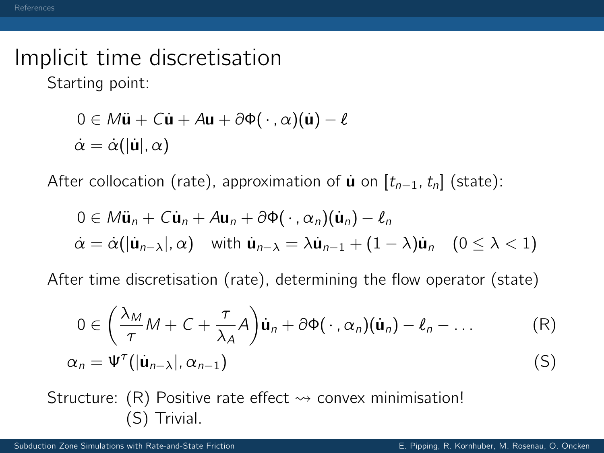Starting point:

$$
0 \in M\ddot{\mathbf{u}} + C\dot{\mathbf{u}} + A\mathbf{u} + \partial \Phi(\cdot, \alpha)(\dot{\mathbf{u}}) - \ell
$$
  

$$
\dot{\alpha} = \dot{\alpha}(|\dot{\mathbf{u}}|, \alpha)
$$

After collocation (rate), approximation of  $\mathbf{u}$  on  $[t_{n-1}, t_n]$  (state):

$$
0 \in M\ddot{\mathbf{u}}_n + C\dot{\mathbf{u}}_n + A\mathbf{u}_n + \partial \Phi(\cdot, \alpha_n)(\dot{\mathbf{u}}_n) - \ell_n
$$
  
\n
$$
\dot{\alpha} = \dot{\alpha}(|\dot{\mathbf{u}}_{n-\lambda}|, \alpha) \quad \text{with } \dot{\mathbf{u}}_{n-\lambda} = \lambda \dot{\mathbf{u}}_{n-1} + (1-\lambda)\dot{\mathbf{u}}_n \quad (0 \le \lambda < 1)
$$

After time discretisation (rate), determining the flow operator (state)

$$
0 \in \left(\frac{\lambda_M}{\tau}M + C + \frac{\tau}{\lambda_A}A\right)\dot{\mathbf{u}}_n + \partial \Phi(\cdot, \alpha_n)(\dot{\mathbf{u}}_n) - \ell_n - \dots
$$
 (R)  

$$
\alpha_n = \Psi^{\tau}(|\dot{\mathbf{u}}_{n-\lambda}|, \alpha_{n-1})
$$
 (S)

Structure: (R) Positive rate effect  $\rightsquigarrow$  convex minimisation! (S) Trivial.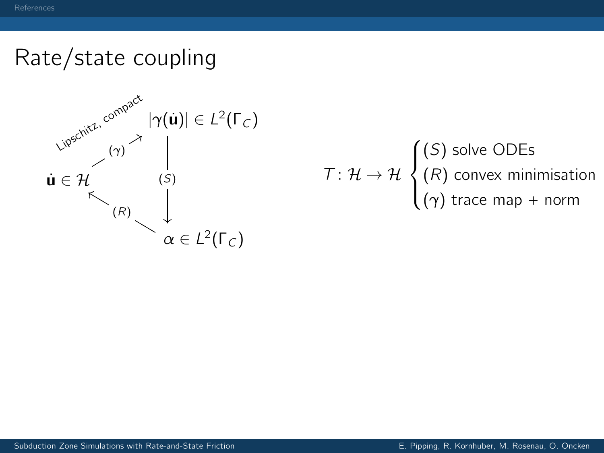# Rate/state coupling



$$
T: \mathcal{H} \to \mathcal{H} \begin{cases} (S) \text{ solve ODEs} \\ (R) \text{ convex minimisation} \\ (\gamma) \text{ trace map} + \text{norm} \end{cases}
$$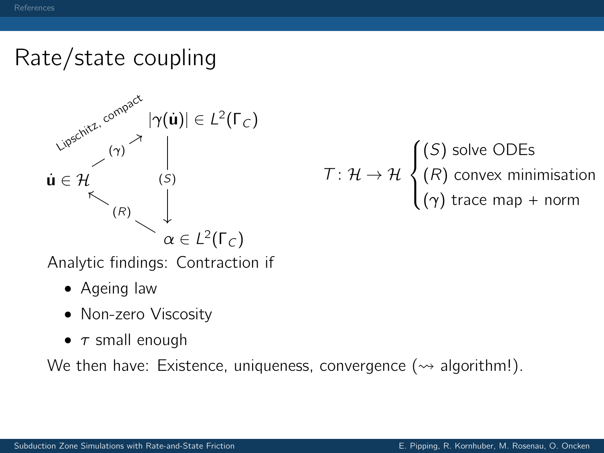### Rate/state coupling



 $\mathcal{T} \colon \mathcal{H} \to \mathcal{H}$  $\sqrt{ }$  $\int$  $\mathcal{L}$ (S) solve ODEs  $(R)$  convex minimisation  $(\gamma)$  trace map + norm

Analytic findings: Contraction if

- Ageing law
- Non-zero Viscosity
- $\tau$  small enough

We then have: Existence, uniqueness, convergence ( $\rightsquigarrow$  algorithm!).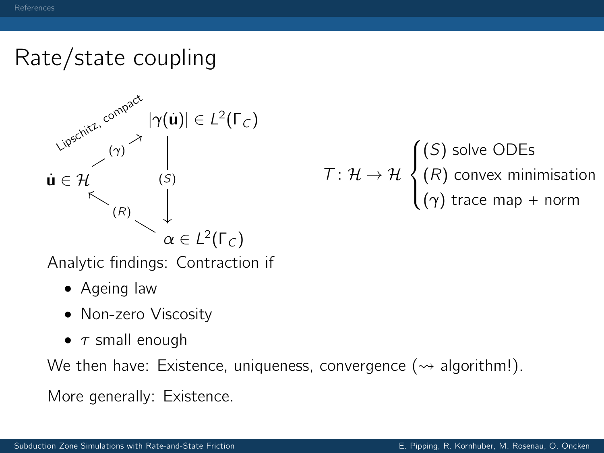## Rate/state coupling



$$
T: \mathcal{H} \to \mathcal{H} \begin{cases} (S) \text{ solve ODEs} \\ (R) \text{ convex minimisation} \\ (\gamma) \text{ trace map} + \text{norm} \end{cases}
$$

Analytic findings: Contraction if

- Ageing law
- Non-zero Viscosity
- $\tau$  small enough

We then have: Existence, uniqueness, convergence ( $\rightarrow$  algorithm!).

More generally: Existence.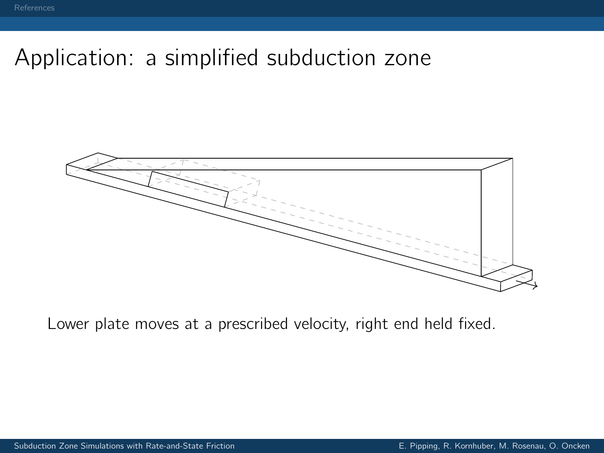# Application: a simplified subduction zone



Lower plate moves at a prescribed velocity, right end held fixed.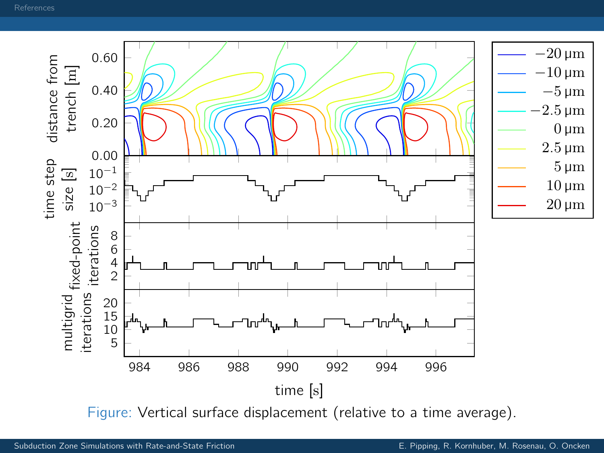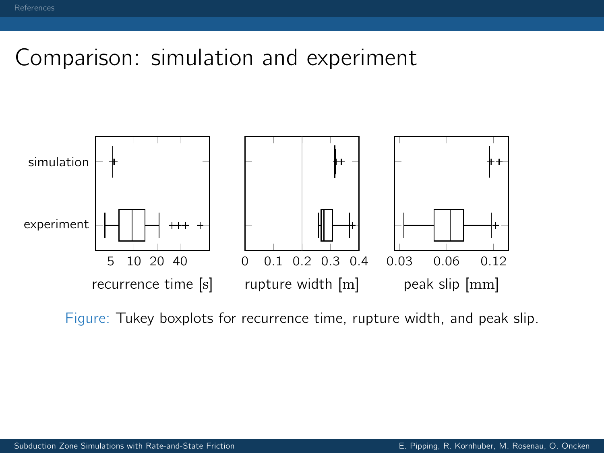#### Comparison: simulation and experiment



Figure: Tukey boxplots for recurrence time, rupture width, and peak slip.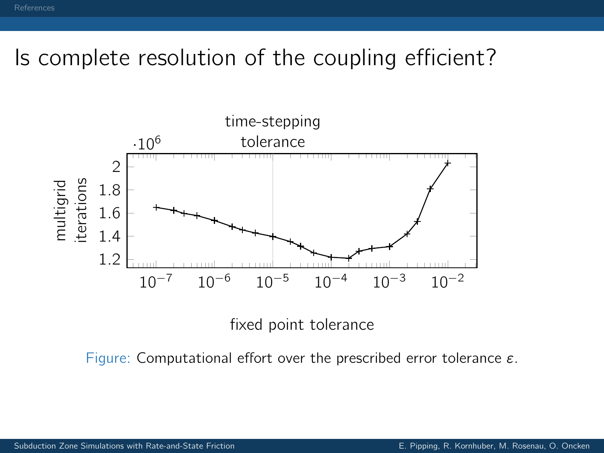# Is complete resolution of the coupling efficient?



fixed point tolerance

Figure: Computational effort over the prescribed error tolerance ε.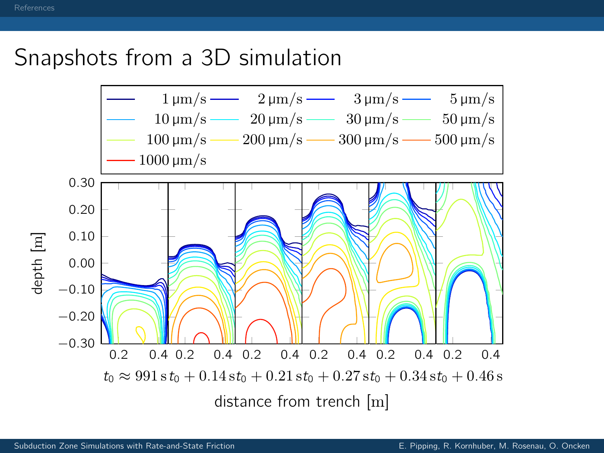### Snapshots from a 3D simulation

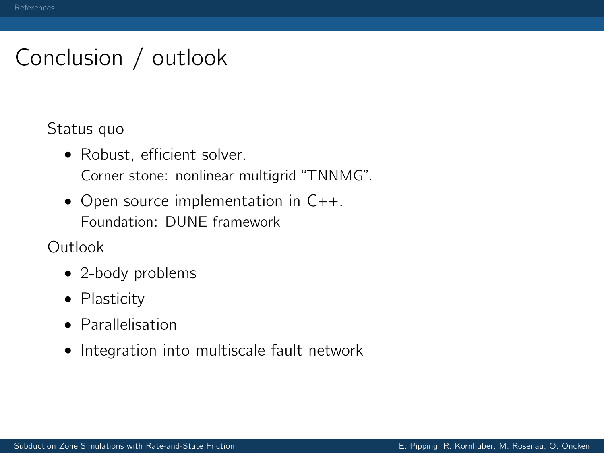# Conclusion / outlook

Status quo

• Robust, efficient solver.

Corner stone: nonlinear multigrid "TNNMG".

• Open source implementation in C++. Foundation: DUNE framework

Outlook

- 2-body problems
- Plasticity
- Parallelisation
- Integration into multiscale fault network